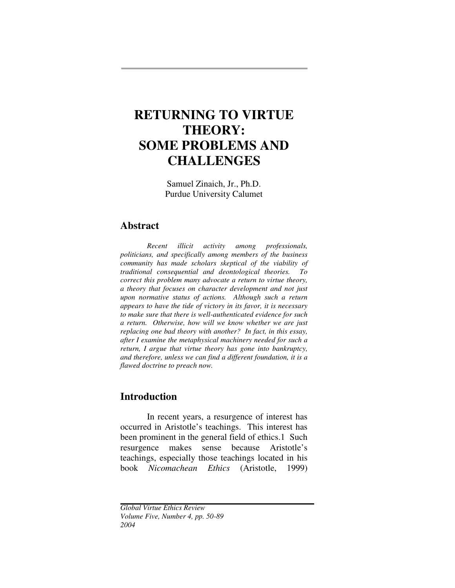# **RETURNING TO VIRTUE THEORY: SOME PROBLEMS AND CHALLENGES**

Samuel Zinaich, Jr., Ph.D. Purdue University Calumet

## **Abstract**

*Recent illicit activity among professionals, politicians, and specifically among members of the business community has made scholars skeptical of the viability of traditional consequential and deontological theories. To correct this problem many advocate a return to virtue theory, a theory that focuses on character development and not just upon normative status of actions. Although such a return appears to have the tide of victory in its favor, it is necessary to make sure that there is well-authenticated evidence for such a return. Otherwise, how will we know whether we are just replacing one bad theory with another? In fact, in this essay, after I examine the metaphysical machinery needed for such a return, I argue that virtue theory has gone into bankruptcy, and therefore, unless we can find a different foundation, it is a flawed doctrine to preach now.*

## **Introduction**

In recent years, a resurgence of interest has occurred in Aristotle's teachings. This interest has been prominent in the general field of ethics.1 Such resurgence makes sense because Aristotle's teachings, especially those teachings located in his book *Nicomachean Ethics* (Aristotle, 1999)

*Global Virtue Ethics Review Volume Five, Number 4, pp. 50-89 2004*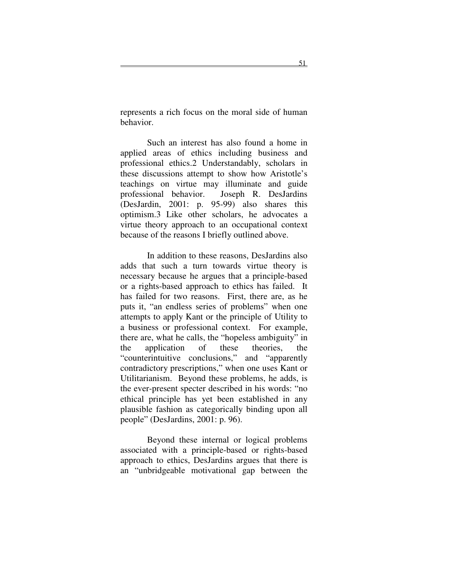represents a rich focus on the moral side of human behavior.

Such an interest has also found a home in applied areas of ethics including business and professional ethics.2 Understandably, scholars in these discussions attempt to show how Aristotle's teachings on virtue may illuminate and guide professional behavior. Joseph R. DesJardins (DesJardin, 2001: p. 95-99) also shares this optimism.3 Like other scholars, he advocates a virtue theory approach to an occupational context because of the reasons I briefly outlined above.

In addition to these reasons, DesJardins also adds that such a turn towards virtue theory is necessary because he argues that a principle-based or a rights-based approach to ethics has failed. It has failed for two reasons. First, there are, as he puts it, "an endless series of problems" when one attempts to apply Kant or the principle of Utility to a business or professional context. For example, there are, what he calls, the "hopeless ambiguity" in the application of these theories, the "counterintuitive conclusions," and "apparently contradictory prescriptions," when one uses Kant or Utilitarianism. Beyond these problems, he adds, is the ever-present specter described in his words: "no ethical principle has yet been established in any plausible fashion as categorically binding upon all people" (DesJardins, 2001: p. 96).

Beyond these internal or logical problems associated with a principle-based or rights-based approach to ethics, DesJardins argues that there is an "unbridgeable motivational gap between the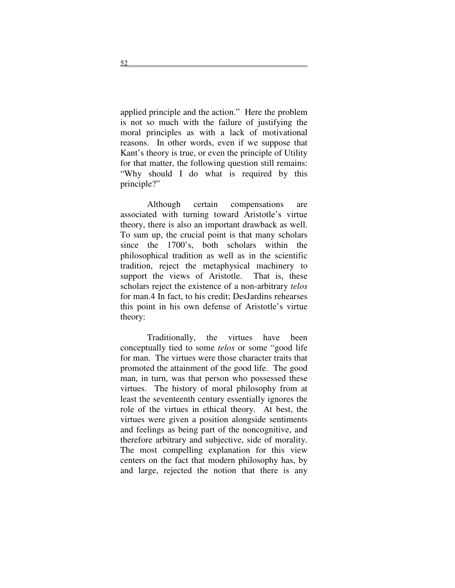applied principle and the action." Here the problem is not so much with the failure of justifying the moral principles as with a lack of motivational reasons. In other words, even if we suppose that Kant's theory is true, or even the principle of Utility for that matter, the following question still remains: "Why should I do what is required by this principle?"

Although certain compensations are associated with turning toward Aristotle's virtue theory, there is also an important drawback as well. To sum up, the crucial point is that many scholars since the 1700's, both scholars within the philosophical tradition as well as in the scientific tradition, reject the metaphysical machinery to support the views of Aristotle. That is, these scholars reject the existence of a non-arbitrary *telos* for man.4 In fact, to his credit; DesJardins rehearses this point in his own defense of Aristotle's virtue theory:

Traditionally, the virtues have been conceptually tied to some *telos* or some "good life for man. The virtues were those character traits that promoted the attainment of the good life. The good man, in turn, was that person who possessed these virtues. The history of moral philosophy from at least the seventeenth century essentially ignores the role of the virtues in ethical theory. At best, the virtues were given a position alongside sentiments and feelings as being part of the noncognitive, and therefore arbitrary and subjective, side of morality. The most compelling explanation for this view centers on the fact that modern philosophy has, by and large, rejected the notion that there is any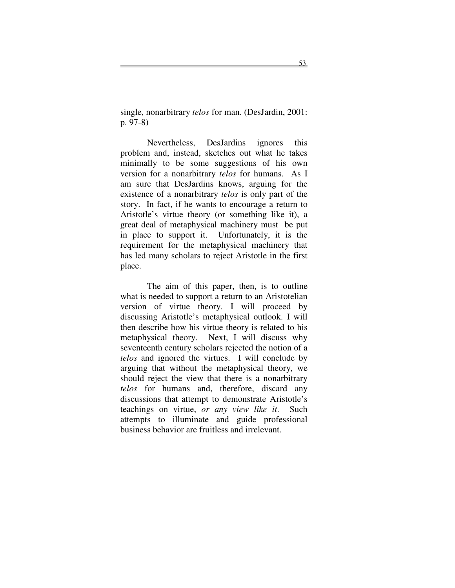single, nonarbitrary *telos* for man. (DesJardin, 2001: p. 97-8)

Nevertheless, DesJardins ignores this problem and, instead, sketches out what he takes minimally to be some suggestions of his own version for a nonarbitrary *telos* for humans. As I am sure that DesJardins knows, arguing for the existence of a nonarbitrary *telos* is only part of the story. In fact, if he wants to encourage a return to Aristotle's virtue theory (or something like it), a great deal of metaphysical machinery must be put in place to support it. Unfortunately, it is the requirement for the metaphysical machinery that has led many scholars to reject Aristotle in the first place.

The aim of this paper, then, is to outline what is needed to support a return to an Aristotelian version of virtue theory. I will proceed by discussing Aristotle's metaphysical outlook. I will then describe how his virtue theory is related to his metaphysical theory. Next, I will discuss why seventeenth century scholars rejected the notion of a *telos* and ignored the virtues. I will conclude by arguing that without the metaphysical theory, we should reject the view that there is a nonarbitrary *telos* for humans and, therefore, discard any discussions that attempt to demonstrate Aristotle's teachings on virtue, *or any view like it*. Such attempts to illuminate and guide professional business behavior are fruitless and irrelevant.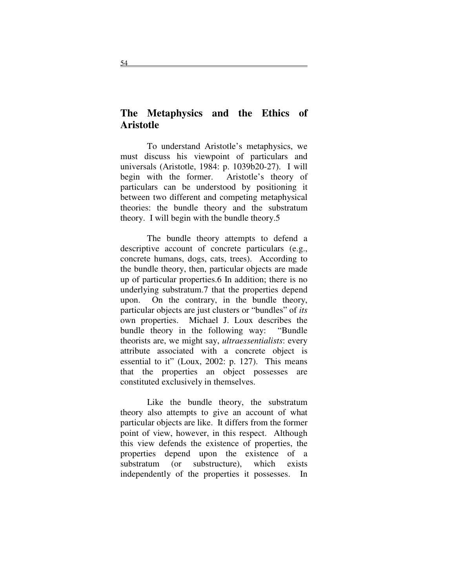# **The Metaphysics and the Ethics of Aristotle**

To understand Aristotle's metaphysics, we must discuss his viewpoint of particulars and universals (Aristotle, 1984: p. 1039b20-27). I will begin with the former. Aristotle's theory of particulars can be understood by positioning it between two different and competing metaphysical theories: the bundle theory and the substratum theory. I will begin with the bundle theory.5

The bundle theory attempts to defend a descriptive account of concrete particulars (e.g., concrete humans, dogs, cats, trees). According to the bundle theory, then, particular objects are made up of particular properties.6 In addition; there is no underlying substratum.7 that the properties depend upon. On the contrary, in the bundle theory, particular objects are just clusters or "bundles" of *its* own properties. Michael J. Loux describes the bundle theory in the following way: "Bundle theorists are, we might say, *ultraessentialists*: every attribute associated with a concrete object is essential to it" (Loux, 2002: p. 127). This means that the properties an object possesses are constituted exclusively in themselves.

Like the bundle theory, the substratum theory also attempts to give an account of what particular objects are like. It differs from the former point of view, however, in this respect. Although this view defends the existence of properties, the properties depend upon the existence of a substratum (or substructure), which exists independently of the properties it possesses. In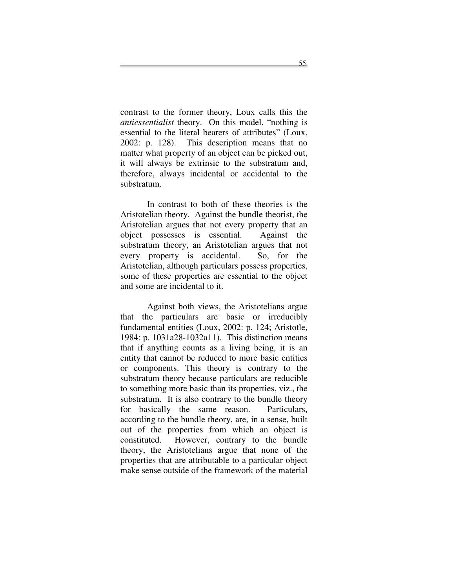contrast to the former theory, Loux calls this the *antiessentialist* theory. On this model, "nothing is essential to the literal bearers of attributes" (Loux, 2002: p. 128). This description means that no matter what property of an object can be picked out, it will always be extrinsic to the substratum and, therefore, always incidental or accidental to the substratum.

In contrast to both of these theories is the Aristotelian theory. Against the bundle theorist, the Aristotelian argues that not every property that an object possesses is essential. Against the substratum theory, an Aristotelian argues that not every property is accidental. So, for the Aristotelian, although particulars possess properties, some of these properties are essential to the object and some are incidental to it.

Against both views, the Aristotelians argue that the particulars are basic or irreducibly fundamental entities (Loux, 2002: p. 124; Aristotle, 1984: p. 1031a28-1032a11). This distinction means that if anything counts as a living being, it is an entity that cannot be reduced to more basic entities or components. This theory is contrary to the substratum theory because particulars are reducible to something more basic than its properties, viz., the substratum. It is also contrary to the bundle theory for basically the same reason. Particulars, according to the bundle theory, are, in a sense, built out of the properties from which an object is constituted. However, contrary to the bundle theory, the Aristotelians argue that none of the properties that are attributable to a particular object make sense outside of the framework of the material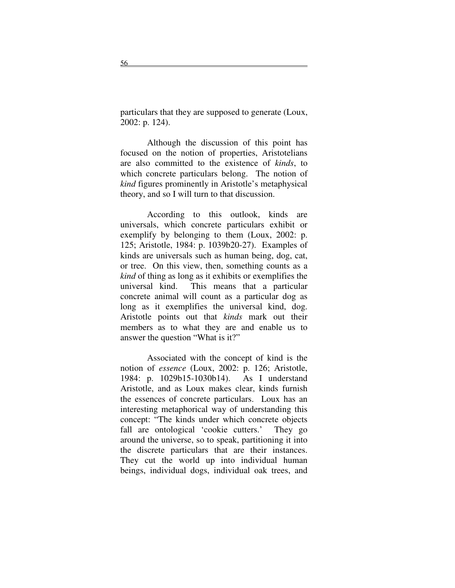particulars that they are supposed to generate (Loux, 2002: p. 124).

Although the discussion of this point has focused on the notion of properties, Aristotelians are also committed to the existence of *kinds*, to which concrete particulars belong. The notion of *kind* figures prominently in Aristotle's metaphysical theory, and so I will turn to that discussion.

According to this outlook, kinds are universals, which concrete particulars exhibit or exemplify by belonging to them (Loux, 2002: p. 125; Aristotle, 1984: p. 1039b20-27). Examples of kinds are universals such as human being, dog, cat, or tree. On this view, then, something counts as a *kind* of thing as long as it exhibits or exemplifies the universal kind. This means that a particular concrete animal will count as a particular dog as long as it exemplifies the universal kind, dog. Aristotle points out that *kinds* mark out their members as to what they are and enable us to answer the question "What is it?"

Associated with the concept of kind is the notion of *essence* (Loux, 2002: p. 126; Aristotle, 1984: p. 1029b15-1030b14). As I understand Aristotle, and as Loux makes clear, kinds furnish the essences of concrete particulars. Loux has an interesting metaphorical way of understanding this concept: "The kinds under which concrete objects fall are ontological 'cookie cutters.' They go around the universe, so to speak, partitioning it into the discrete particulars that are their instances. They cut the world up into individual human beings, individual dogs, individual oak trees, and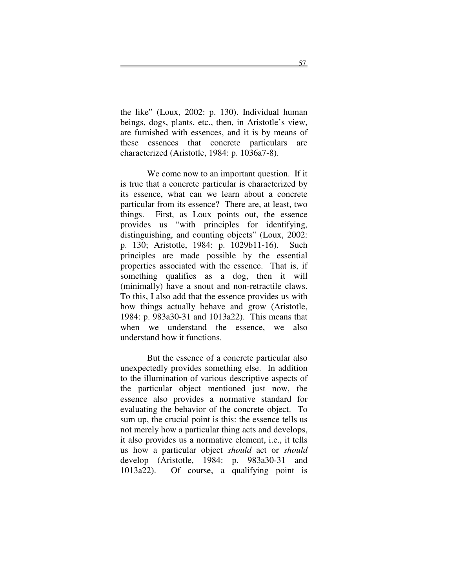the like" (Loux, 2002: p. 130). Individual human beings, dogs, plants, etc., then, in Aristotle's view, are furnished with essences, and it is by means of these essences that concrete particulars are characterized (Aristotle, 1984: p. 1036a7-8).

We come now to an important question. If it is true that a concrete particular is characterized by its essence, what can we learn about a concrete particular from its essence? There are, at least, two things. First, as Loux points out, the essence provides us "with principles for identifying, distinguishing, and counting objects" (Loux, 2002: p. 130; Aristotle, 1984: p. 1029b11-16). Such principles are made possible by the essential properties associated with the essence. That is, if something qualifies as a dog, then it will (minimally) have a snout and non-retractile claws. To this, I also add that the essence provides us with how things actually behave and grow (Aristotle, 1984: p. 983a30-31 and 1013a22). This means that when we understand the essence, we also understand how it functions.

But the essence of a concrete particular also unexpectedly provides something else. In addition to the illumination of various descriptive aspects of the particular object mentioned just now, the essence also provides a normative standard for evaluating the behavior of the concrete object. To sum up, the crucial point is this: the essence tells us not merely how a particular thing acts and develops, it also provides us a normative element, i.e., it tells us how a particular object *should* act or *should* develop (Aristotle, 1984: p. 983a30-31 and 1013a22). Of course, a qualifying point is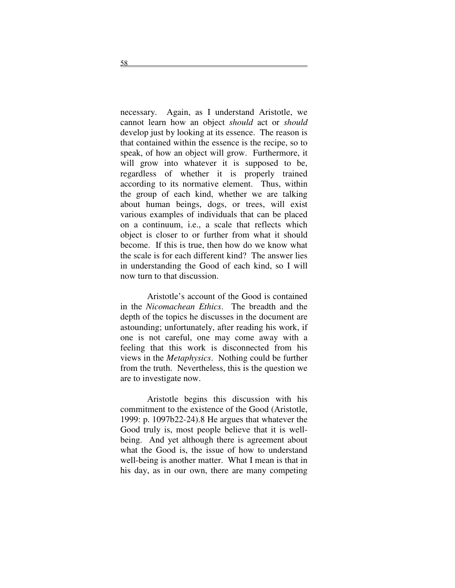necessary. Again, as I understand Aristotle, we cannot learn how an object *should* act or *should* develop just by looking at its essence. The reason is that contained within the essence is the recipe, so to speak, of how an object will grow. Furthermore, it will grow into whatever it is supposed to be, regardless of whether it is properly trained according to its normative element. Thus, within the group of each kind, whether we are talking about human beings, dogs, or trees, will exist various examples of individuals that can be placed on a continuum, i.e., a scale that reflects which object is closer to or further from what it should become. If this is true, then how do we know what the scale is for each different kind? The answer lies in understanding the Good of each kind, so I will now turn to that discussion.

Aristotle's account of the Good is contained in the *Nicomachean Ethics*. The breadth and the depth of the topics he discusses in the document are astounding; unfortunately, after reading his work, if one is not careful, one may come away with a feeling that this work is disconnected from his views in the *Metaphysics*. Nothing could be further from the truth. Nevertheless, this is the question we are to investigate now.

Aristotle begins this discussion with his commitment to the existence of the Good (Aristotle, 1999: p. 1097b22-24).8 He argues that whatever the Good truly is, most people believe that it is wellbeing. And yet although there is agreement about what the Good is, the issue of how to understand well-being is another matter. What I mean is that in his day, as in our own, there are many competing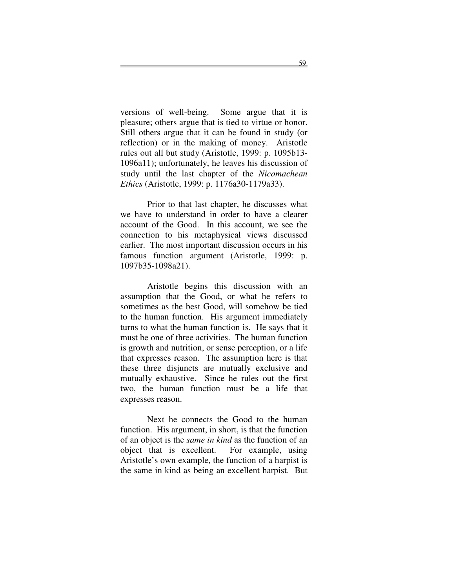versions of well-being. Some argue that it is pleasure; others argue that is tied to virtue or honor. Still others argue that it can be found in study (or reflection) or in the making of money. Aristotle rules out all but study (Aristotle, 1999: p. 1095b13- 1096a11); unfortunately, he leaves his discussion of study until the last chapter of the *Nicomachean Ethics* (Aristotle, 1999: p. 1176a30-1179a33).

Prior to that last chapter, he discusses what we have to understand in order to have a clearer account of the Good. In this account, we see the connection to his metaphysical views discussed earlier. The most important discussion occurs in his famous function argument (Aristotle, 1999: p. 1097b35-1098a21).

Aristotle begins this discussion with an assumption that the Good, or what he refers to sometimes as the best Good, will somehow be tied to the human function. His argument immediately turns to what the human function is. He says that it must be one of three activities. The human function is growth and nutrition, or sense perception, or a life that expresses reason. The assumption here is that these three disjuncts are mutually exclusive and mutually exhaustive. Since he rules out the first two, the human function must be a life that expresses reason.

Next he connects the Good to the human function. His argument, in short, is that the function of an object is the *same in kind* as the function of an object that is excellent. For example, using Aristotle's own example, the function of a harpist is the same in kind as being an excellent harpist. But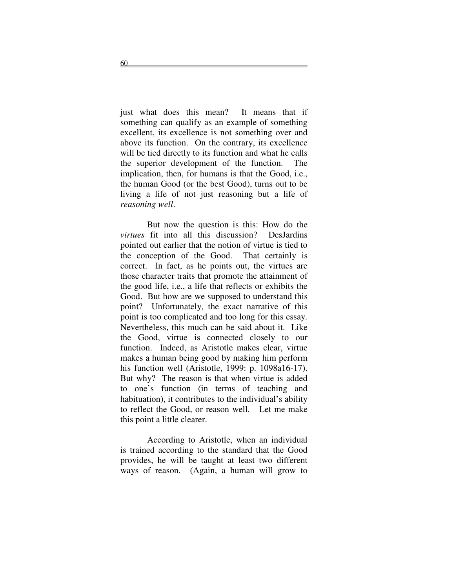just what does this mean? It means that if something can qualify as an example of something excellent, its excellence is not something over and above its function. On the contrary, its excellence will be tied directly to its function and what he calls the superior development of the function. The implication, then, for humans is that the Good, i.e., the human Good (or the best Good), turns out to be living a life of not just reasoning but a life of *reasoning well*.

But now the question is this: How do the *virtues* fit into all this discussion? DesJardins pointed out earlier that the notion of virtue is tied to the conception of the Good. That certainly is correct. In fact, as he points out, the virtues are those character traits that promote the attainment of the good life, i.e., a life that reflects or exhibits the Good. But how are we supposed to understand this point? Unfortunately, the exact narrative of this point is too complicated and too long for this essay. Nevertheless, this much can be said about it. Like the Good, virtue is connected closely to our function. Indeed, as Aristotle makes clear, virtue makes a human being good by making him perform his function well (Aristotle, 1999: p. 1098a16-17). But why? The reason is that when virtue is added to one's function (in terms of teaching and habituation), it contributes to the individual's ability to reflect the Good, or reason well. Let me make this point a little clearer.

According to Aristotle, when an individual is trained according to the standard that the Good provides, he will be taught at least two different ways of reason. (Again, a human will grow to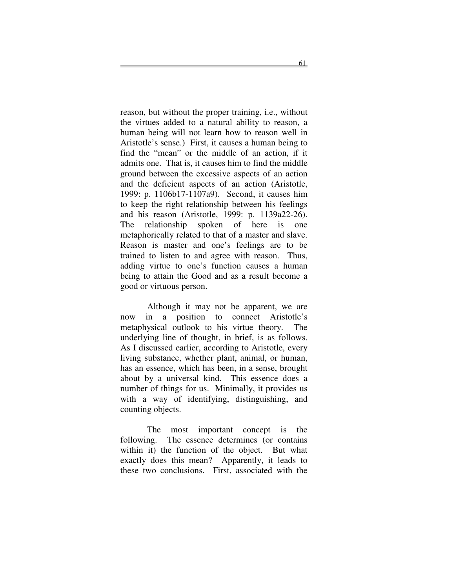reason, but without the proper training, i.e., without the virtues added to a natural ability to reason, a human being will not learn how to reason well in Aristotle's sense.) First, it causes a human being to find the "mean" or the middle of an action, if it admits one. That is, it causes him to find the middle ground between the excessive aspects of an action and the deficient aspects of an action (Aristotle, 1999: p. 1106b17-1107a9). Second, it causes him to keep the right relationship between his feelings and his reason (Aristotle, 1999: p. 1139a22-26). The relationship spoken of here is one metaphorically related to that of a master and slave. Reason is master and one's feelings are to be trained to listen to and agree with reason. Thus, adding virtue to one's function causes a human being to attain the Good and as a result become a good or virtuous person.

Although it may not be apparent, we are now in a position to connect Aristotle's metaphysical outlook to his virtue theory. The underlying line of thought, in brief, is as follows. As I discussed earlier, according to Aristotle, every living substance, whether plant, animal, or human, has an essence, which has been, in a sense, brought about by a universal kind. This essence does a number of things for us. Minimally, it provides us with a way of identifying, distinguishing, and counting objects.

The most important concept is the following. The essence determines (or contains within it) the function of the object. But what exactly does this mean? Apparently, it leads to these two conclusions. First, associated with the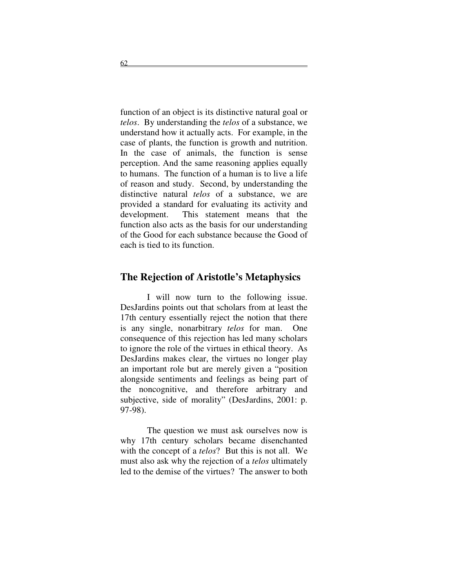function of an object is its distinctive natural goal or *telos*. By understanding the *telos* of a substance, we understand how it actually acts. For example, in the case of plants, the function is growth and nutrition. In the case of animals, the function is sense perception. And the same reasoning applies equally to humans. The function of a human is to live a life of reason and study. Second, by understanding the distinctive natural *telos* of a substance, we are provided a standard for evaluating its activity and development. This statement means that the function also acts as the basis for our understanding of the Good for each substance because the Good of each is tied to its function.

#### **The Rejection of Aristotle's Metaphysics**

I will now turn to the following issue. DesJardins points out that scholars from at least the 17th century essentially reject the notion that there is any single, nonarbitrary *telos* for man. One consequence of this rejection has led many scholars to ignore the role of the virtues in ethical theory. As DesJardins makes clear, the virtues no longer play an important role but are merely given a "position alongside sentiments and feelings as being part of the noncognitive, and therefore arbitrary and subjective, side of morality" (DesJardins, 2001: p. 97-98).

The question we must ask ourselves now is why 17th century scholars became disenchanted with the concept of a *telos*? But this is not all. We must also ask why the rejection of a *telos* ultimately led to the demise of the virtues? The answer to both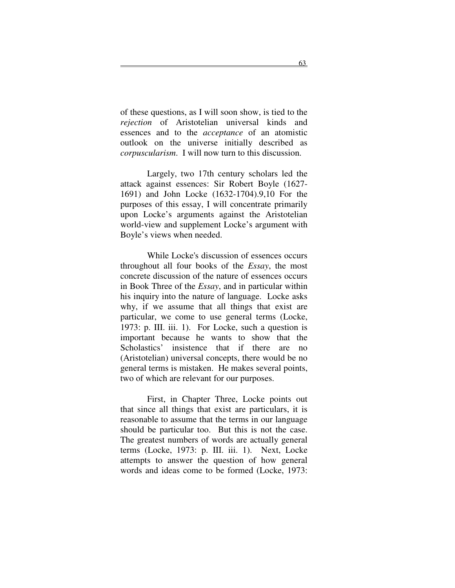of these questions, as I will soon show, is tied to the *rejection* of Aristotelian universal kinds and essences and to the *acceptance* of an atomistic outlook on the universe initially described as *corpuscularism*. I will now turn to this discussion.

Largely, two 17th century scholars led the attack against essences: Sir Robert Boyle (1627- 1691) and John Locke (1632-1704).9,10 For the purposes of this essay, I will concentrate primarily upon Locke's arguments against the Aristotelian world-view and supplement Locke's argument with Boyle's views when needed.

While Locke's discussion of essences occurs throughout all four books of the *Essay*, the most concrete discussion of the nature of essences occurs in Book Three of the *Essay*, and in particular within his inquiry into the nature of language. Locke asks why, if we assume that all things that exist are particular, we come to use general terms (Locke, 1973: p. III. iii. 1). For Locke, such a question is important because he wants to show that the Scholastics' insistence that if there are no (Aristotelian) universal concepts, there would be no general terms is mistaken. He makes several points, two of which are relevant for our purposes.

First, in Chapter Three, Locke points out that since all things that exist are particulars, it is reasonable to assume that the terms in our language should be particular too. But this is not the case. The greatest numbers of words are actually general terms (Locke, 1973: p. III. iii. 1). Next, Locke attempts to answer the question of how general words and ideas come to be formed (Locke, 1973: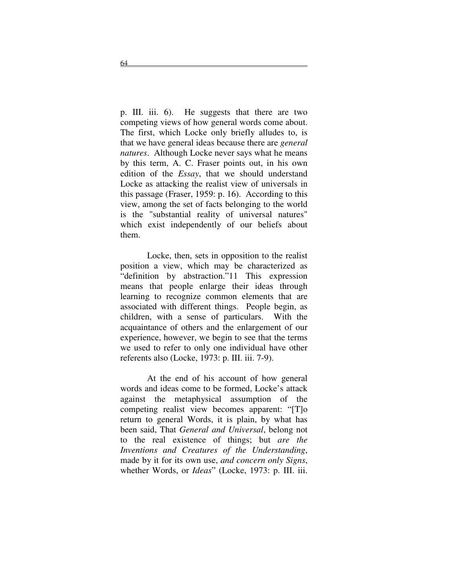p. III. iii. 6). He suggests that there are two competing views of how general words come about. The first, which Locke only briefly alludes to, is that we have general ideas because there are *general natures*. Although Locke never says what he means by this term, A. C. Fraser points out, in his own edition of the *Essay*, that we should understand Locke as attacking the realist view of universals in this passage (Fraser, 1959: p. 16). According to this view, among the set of facts belonging to the world is the "substantial reality of universal natures" which exist independently of our beliefs about them.

Locke, then, sets in opposition to the realist position a view, which may be characterized as "definition by abstraction."11 This expression means that people enlarge their ideas through learning to recognize common elements that are associated with different things. People begin, as children, with a sense of particulars. With the acquaintance of others and the enlargement of our experience, however, we begin to see that the terms we used to refer to only one individual have other referents also (Locke, 1973: p. III. iii. 7-9).

At the end of his account of how general words and ideas come to be formed, Locke's attack against the metaphysical assumption of the competing realist view becomes apparent: "[T]o return to general Words, it is plain, by what has been said, That *General and Universal*, belong not to the real existence of things; but *are the Inventions and Creatures of the Understanding*, made by it for its own use, *and concern only Signs*, whether Words, or *Ideas*" (Locke, 1973: p. III. iii.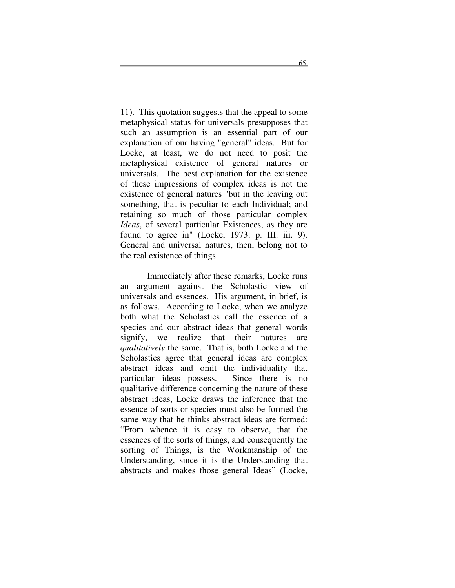11). This quotation suggests that the appeal to some metaphysical status for universals presupposes that such an assumption is an essential part of our explanation of our having "general" ideas. But for Locke, at least, we do not need to posit the metaphysical existence of general natures or universals. The best explanation for the existence of these impressions of complex ideas is not the existence of general natures "but in the leaving out something, that is peculiar to each Individual; and retaining so much of those particular complex *Ideas*, of several particular Existences, as they are found to agree in" (Locke, 1973: p. III. iii. 9). General and universal natures, then, belong not to the real existence of things.

Immediately after these remarks, Locke runs an argument against the Scholastic view of universals and essences. His argument, in brief, is as follows. According to Locke, when we analyze both what the Scholastics call the essence of a species and our abstract ideas that general words signify, we realize that their natures are *qualitatively* the same. That is, both Locke and the Scholastics agree that general ideas are complex abstract ideas and omit the individuality that particular ideas possess. Since there is no qualitative difference concerning the nature of these abstract ideas, Locke draws the inference that the essence of sorts or species must also be formed the same way that he thinks abstract ideas are formed: "From whence it is easy to observe, that the essences of the sorts of things, and consequently the sorting of Things, is the Workmanship of the Understanding, since it is the Understanding that abstracts and makes those general Ideas" (Locke,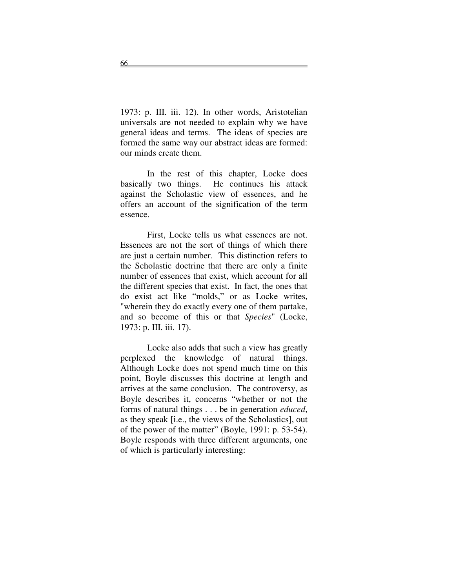1973: p. III. iii. 12). In other words, Aristotelian universals are not needed to explain why we have general ideas and terms. The ideas of species are formed the same way our abstract ideas are formed: our minds create them.

In the rest of this chapter, Locke does basically two things. He continues his attack against the Scholastic view of essences, and he offers an account of the signification of the term essence.

First, Locke tells us what essences are not. Essences are not the sort of things of which there are just a certain number. This distinction refers to the Scholastic doctrine that there are only a finite number of essences that exist, which account for all the different species that exist. In fact, the ones that do exist act like "molds," or as Locke writes, "wherein they do exactly every one of them partake, and so become of this or that *Species*" (Locke, 1973: p. III. iii. 17).

Locke also adds that such a view has greatly perplexed the knowledge of natural things. Although Locke does not spend much time on this point, Boyle discusses this doctrine at length and arrives at the same conclusion. The controversy, as Boyle describes it, concerns "whether or not the forms of natural things . . . be in generation *educed*, as they speak [i.e., the views of the Scholastics], out of the power of the matter" (Boyle, 1991: p. 53-54). Boyle responds with three different arguments, one of which is particularly interesting: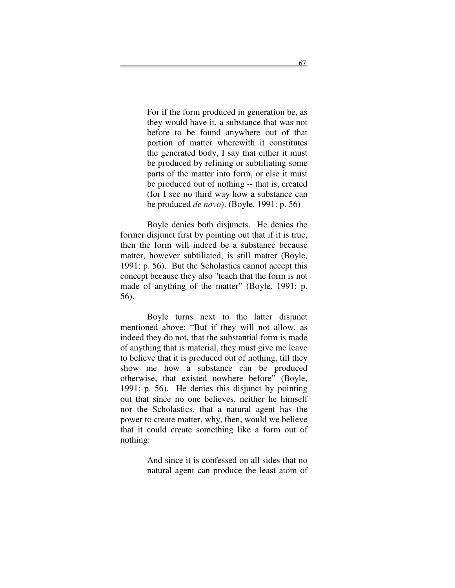For if the form produced in generation be, as they would have it, a substance that was not before to be found anywhere out of that portion of matter wherewith it constitutes the generated body, I say that either it must be produced by refining or subtiliating some parts of the matter into form, or else it must be produced out of nothing -- that is, created (for I see no third way how a substance can be produced *de novo*). (Boyle, 1991: p. 56)

Boyle denies both disjuncts. He denies the former disjunct first by pointing out that if it is true, then the form will indeed be a substance because matter, however subtiliated, is still matter (Boyle, 1991: p. 56). But the Scholastics cannot accept this concept because they also "teach that the form is not made of anything of the matter" (Boyle, 1991: p. 56).

Boyle turns next to the latter disjunct mentioned above: "But if they will not allow, as indeed they do not, that the substantial form is made of anything that is material, they must give me leave to believe that it is produced out of nothing, till they show me how a substance can be produced otherwise, that existed nowhere before" (Boyle, 1991: p. 56). He denies this disjunct by pointing out that since no one believes, neither he himself nor the Scholastics, that a natural agent has the power to create matter, why, then, would we believe that it could create something like a form out of nothing:

> And since it is confessed on all sides that no natural agent can produce the least atom of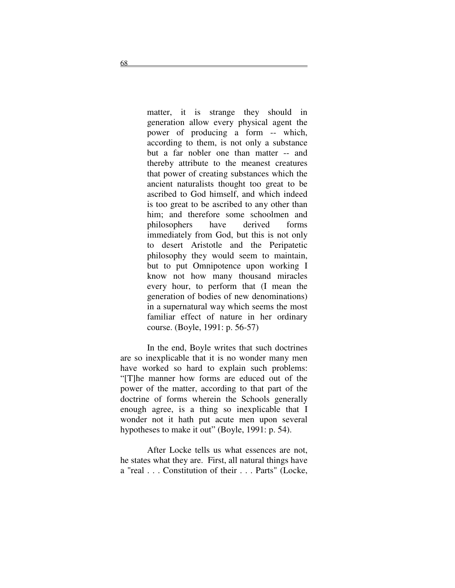matter, it is strange they should in generation allow every physical agent the power of producing a form -- which, according to them, is not only a substance but a far nobler one than matter -- and thereby attribute to the meanest creatures that power of creating substances which the ancient naturalists thought too great to be ascribed to God himself, and which indeed is too great to be ascribed to any other than him; and therefore some schoolmen and philosophers have derived forms immediately from God, but this is not only to desert Aristotle and the Peripatetic philosophy they would seem to maintain, but to put Omnipotence upon working I know not how many thousand miracles every hour, to perform that (I mean the generation of bodies of new denominations) in a supernatural way which seems the most familiar effect of nature in her ordinary course. (Boyle, 1991: p. 56-57)

In the end, Boyle writes that such doctrines are so inexplicable that it is no wonder many men have worked so hard to explain such problems: "[T]he manner how forms are educed out of the power of the matter, according to that part of the doctrine of forms wherein the Schools generally enough agree, is a thing so inexplicable that I wonder not it hath put acute men upon several hypotheses to make it out" (Boyle, 1991: p. 54).

After Locke tells us what essences are not, he states what they are. First, all natural things have a "real . . . Constitution of their . . . Parts" (Locke,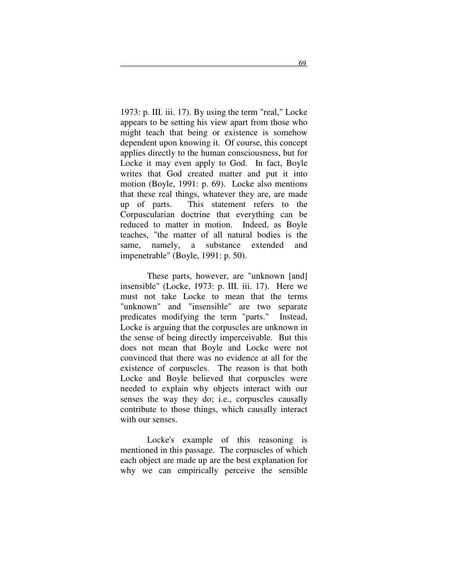1973: p. III. iii. 17). By using the term "real," Locke appears to be setting his view apart from those who might teach that being or existence is somehow dependent upon knowing it. Of course, this concept applies directly to the human consciousness, but for Locke it may even apply to God. In fact, Boyle writes that God created matter and put it into motion (Boyle, 1991: p. 69). Locke also mentions that these real things, whatever they are, are made up of parts. This statement refers to the Corpuscularian doctrine that everything can be reduced to matter in motion. Indeed, as Boyle teaches, "the matter of all natural bodies is the same, namely, a substance extended and impenetrable" (Boyle, 1991: p. 50).

These parts, however, are "unknown [and] insensible" (Locke, 1973: p. III. iii. 17). Here we must not take Locke to mean that the terms "unknown" and "insensible" are two separate predicates modifying the term "parts." Instead, Locke is arguing that the corpuscles are unknown in the sense of being directly imperceivable. But this does not mean that Boyle and Locke were not convinced that there was no evidence at all for the existence of corpuscles. The reason is that both Locke and Boyle believed that corpuscles were needed to explain why objects interact with our senses the way they do; i.e., corpuscles causally contribute to those things, which causally interact with our senses.

Locke's example of this reasoning is mentioned in this passage. The corpuscles of which each object are made up are the best explanation for why we can empirically perceive the sensible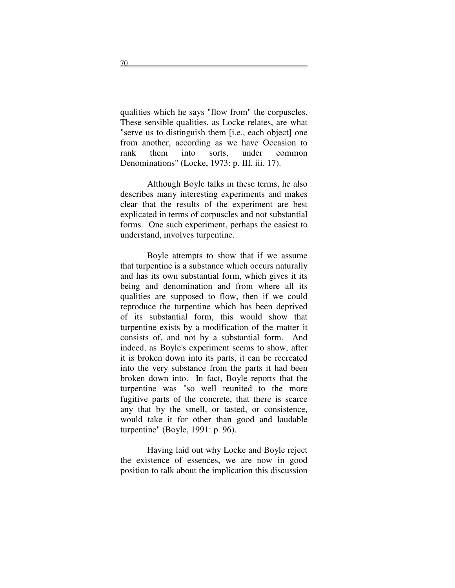qualities which he says "flow from" the corpuscles. These sensible qualities, as Locke relates, are what "serve us to distinguish them [i.e., each object] one from another, according as we have Occasion to rank them into sorts, under common Denominations" (Locke, 1973: p. III. iii. 17).

Although Boyle talks in these terms, he also describes many interesting experiments and makes clear that the results of the experiment are best explicated in terms of corpuscles and not substantial forms. One such experiment, perhaps the easiest to understand, involves turpentine.

Boyle attempts to show that if we assume that turpentine is a substance which occurs naturally and has its own substantial form, which gives it its being and denomination and from where all its qualities are supposed to flow, then if we could reproduce the turpentine which has been deprived of its substantial form, this would show that turpentine exists by a modification of the matter it consists of, and not by a substantial form. And indeed, as Boyle's experiment seems to show, after it is broken down into its parts, it can be recreated into the very substance from the parts it had been broken down into. In fact, Boyle reports that the turpentine was "so well reunited to the more fugitive parts of the concrete, that there is scarce any that by the smell, or tasted, or consistence, would take it for other than good and laudable turpentine" (Boyle, 1991: p. 96).

Having laid out why Locke and Boyle reject the existence of essences, we are now in good position to talk about the implication this discussion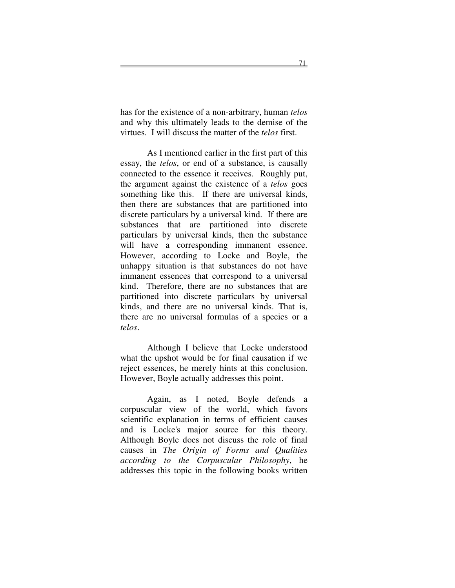has for the existence of a non-arbitrary, human *telos* and why this ultimately leads to the demise of the virtues. I will discuss the matter of the *telos* first.

As I mentioned earlier in the first part of this essay, the *telos*, or end of a substance, is causally connected to the essence it receives. Roughly put, the argument against the existence of a *telos* goes something like this. If there are universal kinds, then there are substances that are partitioned into discrete particulars by a universal kind. If there are substances that are partitioned into discrete particulars by universal kinds, then the substance will have a corresponding immanent essence. However, according to Locke and Boyle, the unhappy situation is that substances do not have immanent essences that correspond to a universal kind. Therefore, there are no substances that are partitioned into discrete particulars by universal kinds, and there are no universal kinds. That is, there are no universal formulas of a species or a *telos*.

Although I believe that Locke understood what the upshot would be for final causation if we reject essences, he merely hints at this conclusion. However, Boyle actually addresses this point.

Again, as I noted, Boyle defends a corpuscular view of the world, which favors scientific explanation in terms of efficient causes and is Locke's major source for this theory. Although Boyle does not discuss the role of final causes in *The Origin of Forms and Qualities according to the Corpuscular Philosophy*, he addresses this topic in the following books written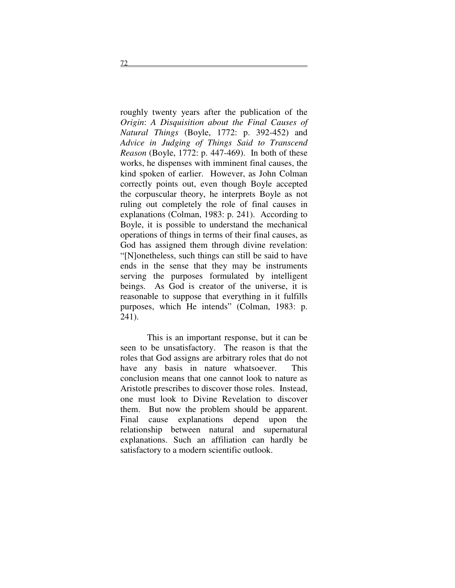roughly twenty years after the publication of the *Origin*: *A Disquisition about the Final Causes of Natural Things* (Boyle, 1772: p. 392-452) and *Advice in Judging of Things Said to Transcend Reason* (Boyle, 1772: p. 447-469). In both of these works, he dispenses with imminent final causes, the kind spoken of earlier. However, as John Colman correctly points out, even though Boyle accepted the corpuscular theory, he interprets Boyle as not ruling out completely the role of final causes in explanations (Colman, 1983: p. 241). According to Boyle, it is possible to understand the mechanical operations of things in terms of their final causes, as God has assigned them through divine revelation: "[N]onetheless, such things can still be said to have ends in the sense that they may be instruments serving the purposes formulated by intelligent beings. As God is creator of the universe, it is reasonable to suppose that everything in it fulfills purposes, which He intends" (Colman, 1983: p. 241).

This is an important response, but it can be seen to be unsatisfactory. The reason is that the roles that God assigns are arbitrary roles that do not have any basis in nature whatsoever. This conclusion means that one cannot look to nature as Aristotle prescribes to discover those roles. Instead, one must look to Divine Revelation to discover them. But now the problem should be apparent. Final cause explanations depend upon the relationship between natural and supernatural explanations. Such an affiliation can hardly be satisfactory to a modern scientific outlook.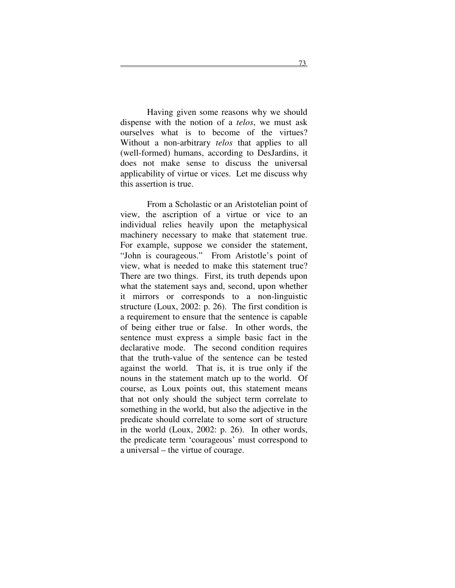Having given some reasons why we should dispense with the notion of a *telos*, we must ask ourselves what is to become of the virtues? Without a non-arbitrary *telos* that applies to all (well-formed) humans, according to DesJardins, it does not make sense to discuss the universal applicability of virtue or vices. Let me discuss why this assertion is true.

From a Scholastic or an Aristotelian point of view, the ascription of a virtue or vice to an individual relies heavily upon the metaphysical machinery necessary to make that statement true. For example, suppose we consider the statement, "John is courageous." From Aristotle's point of view, what is needed to make this statement true? There are two things. First, its truth depends upon what the statement says and, second, upon whether it mirrors or corresponds to a non-linguistic structure (Loux, 2002: p. 26). The first condition is a requirement to ensure that the sentence is capable of being either true or false. In other words, the sentence must express a simple basic fact in the declarative mode. The second condition requires that the truth-value of the sentence can be tested against the world. That is, it is true only if the nouns in the statement match up to the world. Of course, as Loux points out, this statement means that not only should the subject term correlate to something in the world, but also the adjective in the predicate should correlate to some sort of structure in the world (Loux, 2002: p. 26). In other words, the predicate term 'courageous' must correspond to a universal – the virtue of courage.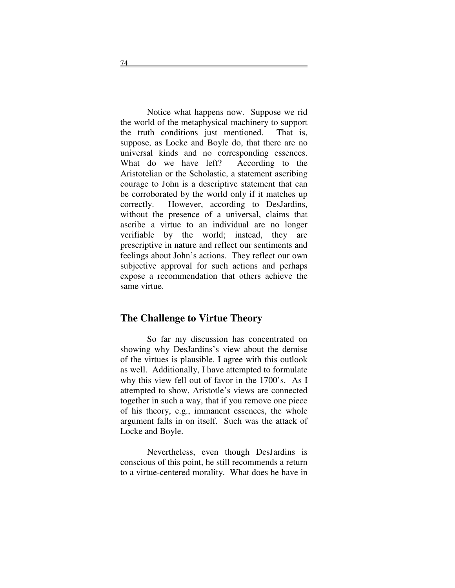Notice what happens now. Suppose we rid the world of the metaphysical machinery to support the truth conditions just mentioned. That is, suppose, as Locke and Boyle do, that there are no universal kinds and no corresponding essences. What do we have left? According to the Aristotelian or the Scholastic, a statement ascribing courage to John is a descriptive statement that can be corroborated by the world only if it matches up correctly. However, according to DesJardins, without the presence of a universal, claims that ascribe a virtue to an individual are no longer verifiable by the world; instead, they are prescriptive in nature and reflect our sentiments and feelings about John's actions. They reflect our own subjective approval for such actions and perhaps expose a recommendation that others achieve the same virtue.

#### **The Challenge to Virtue Theory**

So far my discussion has concentrated on showing why DesJardins's view about the demise of the virtues is plausible. I agree with this outlook as well. Additionally, I have attempted to formulate why this view fell out of favor in the 1700's. As I attempted to show, Aristotle's views are connected together in such a way, that if you remove one piece of his theory, e.g., immanent essences, the whole argument falls in on itself. Such was the attack of Locke and Boyle.

Nevertheless, even though DesJardins is conscious of this point, he still recommends a return to a virtue-centered morality. What does he have in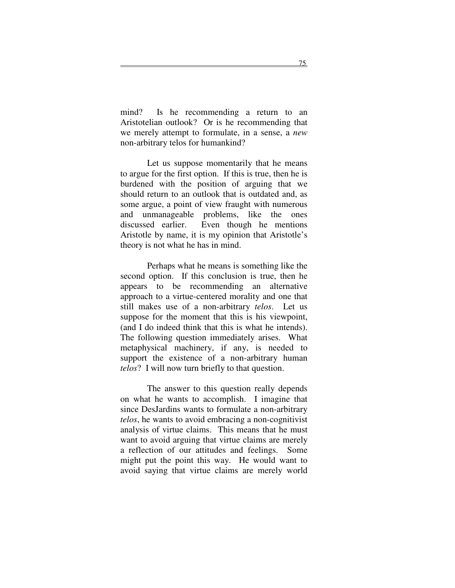mind? Is he recommending a return to an Aristotelian outlook? Or is he recommending that we merely attempt to formulate, in a sense, a *new* non-arbitrary telos for humankind?

Let us suppose momentarily that he means to argue for the first option. If this is true, then he is burdened with the position of arguing that we should return to an outlook that is outdated and, as some argue, a point of view fraught with numerous and unmanageable problems, like the ones discussed earlier. Even though he mentions Aristotle by name, it is my opinion that Aristotle's theory is not what he has in mind.

Perhaps what he means is something like the second option. If this conclusion is true, then he appears to be recommending an alternative approach to a virtue-centered morality and one that still makes use of a non-arbitrary *telos*. Let us suppose for the moment that this is his viewpoint, (and I do indeed think that this is what he intends). The following question immediately arises. What metaphysical machinery, if any, is needed to support the existence of a non-arbitrary human *telos*? I will now turn briefly to that question.

The answer to this question really depends on what he wants to accomplish. I imagine that since DesJardins wants to formulate a non-arbitrary *telos*, he wants to avoid embracing a non-cognitivist analysis of virtue claims. This means that he must want to avoid arguing that virtue claims are merely a reflection of our attitudes and feelings. Some might put the point this way. He would want to avoid saying that virtue claims are merely world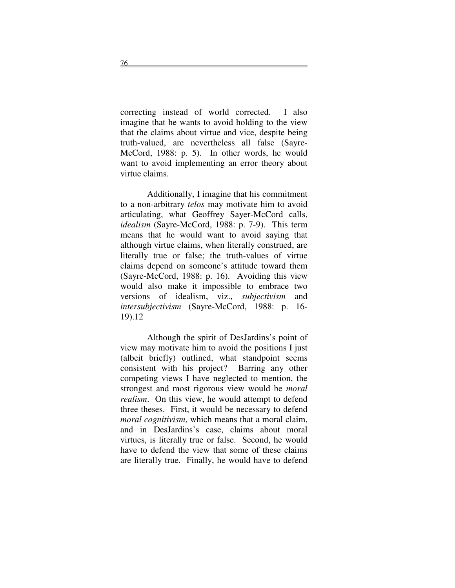correcting instead of world corrected. I also imagine that he wants to avoid holding to the view that the claims about virtue and vice, despite being truth-valued, are nevertheless all false (Sayre-McCord, 1988: p. 5). In other words, he would want to avoid implementing an error theory about virtue claims.

Additionally, I imagine that his commitment to a non-arbitrary *telos* may motivate him to avoid articulating, what Geoffrey Sayer-McCord calls, *idealism* (Sayre-McCord, 1988: p. 7-9). This term means that he would want to avoid saying that although virtue claims, when literally construed, are literally true or false; the truth-values of virtue claims depend on someone's attitude toward them (Sayre-McCord, 1988: p. 16). Avoiding this view would also make it impossible to embrace two versions of idealism, viz., *subjectivism* and *intersubjectivism* (Sayre-McCord, 1988: p. 16- 19).12

Although the spirit of DesJardins's point of view may motivate him to avoid the positions I just (albeit briefly) outlined, what standpoint seems consistent with his project? Barring any other competing views I have neglected to mention, the strongest and most rigorous view would be *moral realism*. On this view, he would attempt to defend three theses. First, it would be necessary to defend *moral cognitivism*, which means that a moral claim, and in DesJardins's case, claims about moral virtues, is literally true or false. Second, he would have to defend the view that some of these claims are literally true. Finally, he would have to defend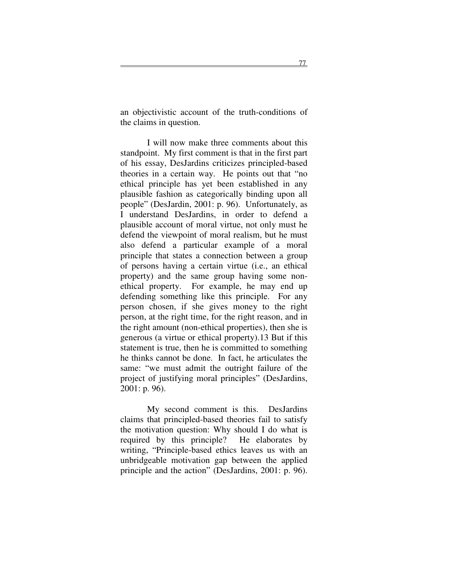an objectivistic account of the truth-conditions of the claims in question.

I will now make three comments about this standpoint. My first comment is that in the first part of his essay, DesJardins criticizes principled-based theories in a certain way. He points out that "no ethical principle has yet been established in any plausible fashion as categorically binding upon all people" (DesJardin, 2001: p. 96). Unfortunately, as I understand DesJardins, in order to defend a plausible account of moral virtue, not only must he defend the viewpoint of moral realism, but he must also defend a particular example of a moral principle that states a connection between a group of persons having a certain virtue (i.e., an ethical property) and the same group having some nonethical property. For example, he may end up defending something like this principle. For any person chosen, if she gives money to the right person, at the right time, for the right reason, and in the right amount (non-ethical properties), then she is generous (a virtue or ethical property).13 But if this statement is true, then he is committed to something he thinks cannot be done. In fact, he articulates the same: "we must admit the outright failure of the project of justifying moral principles" (DesJardins, 2001: p. 96).

My second comment is this. DesJardins claims that principled-based theories fail to satisfy the motivation question: Why should I do what is required by this principle? He elaborates by writing, "Principle-based ethics leaves us with an unbridgeable motivation gap between the applied principle and the action" (DesJardins, 2001: p. 96).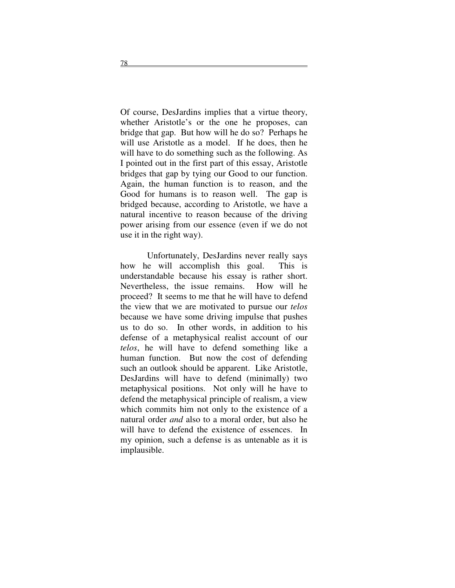Of course, DesJardins implies that a virtue theory, whether Aristotle's or the one he proposes, can bridge that gap. But how will he do so? Perhaps he will use Aristotle as a model. If he does, then he will have to do something such as the following. As I pointed out in the first part of this essay, Aristotle bridges that gap by tying our Good to our function. Again, the human function is to reason, and the Good for humans is to reason well. The gap is bridged because, according to Aristotle, we have a natural incentive to reason because of the driving power arising from our essence (even if we do not use it in the right way).

Unfortunately, DesJardins never really says how he will accomplish this goal. This is understandable because his essay is rather short. Nevertheless, the issue remains. How will he proceed? It seems to me that he will have to defend the view that we are motivated to pursue our *telos* because we have some driving impulse that pushes us to do so. In other words, in addition to his defense of a metaphysical realist account of our *telos*, he will have to defend something like a human function. But now the cost of defending such an outlook should be apparent. Like Aristotle, DesJardins will have to defend (minimally) two metaphysical positions. Not only will he have to defend the metaphysical principle of realism, a view which commits him not only to the existence of a natural order *and* also to a moral order, but also he will have to defend the existence of essences. In my opinion, such a defense is as untenable as it is implausible.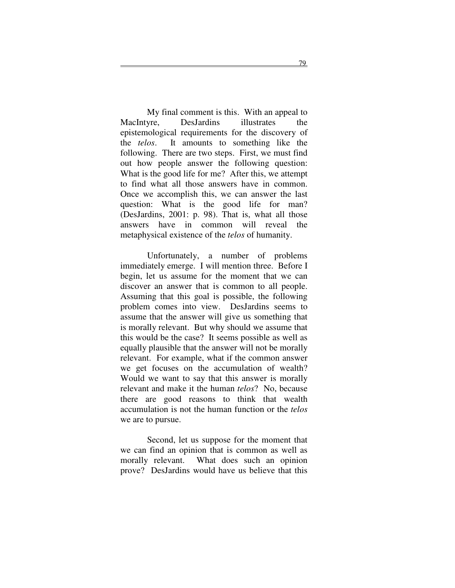My final comment is this. With an appeal to MacIntyre, DesJardins illustrates the epistemological requirements for the discovery of the *telos*. It amounts to something like the following. There are two steps. First, we must find out how people answer the following question: What is the good life for me? After this, we attempt to find what all those answers have in common. Once we accomplish this, we can answer the last question: What is the good life for man? (DesJardins, 2001: p. 98). That is, what all those answers have in common will reveal the metaphysical existence of the *telos* of humanity.

Unfortunately, a number of problems immediately emerge. I will mention three. Before I begin, let us assume for the moment that we can discover an answer that is common to all people. Assuming that this goal is possible, the following problem comes into view. DesJardins seems to assume that the answer will give us something that is morally relevant. But why should we assume that this would be the case? It seems possible as well as equally plausible that the answer will not be morally relevant. For example, what if the common answer we get focuses on the accumulation of wealth? Would we want to say that this answer is morally relevant and make it the human *telos*? No, because there are good reasons to think that wealth accumulation is not the human function or the *telos* we are to pursue.

Second, let us suppose for the moment that we can find an opinion that is common as well as morally relevant. What does such an opinion prove? DesJardins would have us believe that this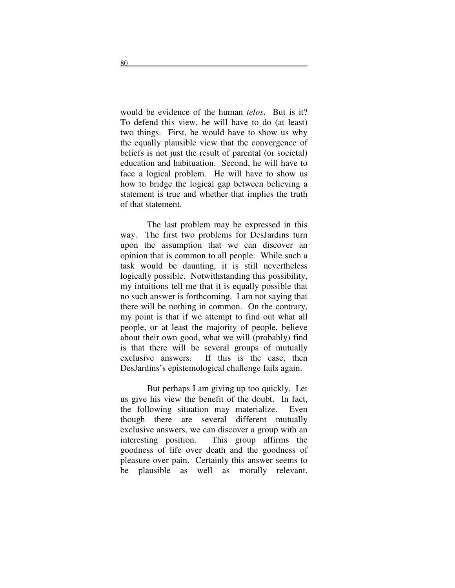would be evidence of the human *telos*. But is it? To defend this view, he will have to do (at least) two things. First, he would have to show us why the equally plausible view that the convergence of beliefs is not just the result of parental (or societal) education and habituation. Second, he will have to face a logical problem. He will have to show us how to bridge the logical gap between believing a statement is true and whether that implies the truth of that statement.

The last problem may be expressed in this way. The first two problems for DesJardins turn upon the assumption that we can discover an opinion that is common to all people. While such a task would be daunting, it is still nevertheless logically possible. Notwithstanding this possibility, my intuitions tell me that it is equally possible that no such answer is forthcoming. I am not saying that there will be nothing in common. On the contrary, my point is that if we attempt to find out what all people, or at least the majority of people, believe about their own good, what we will (probably) find is that there will be several groups of mutually exclusive answers. If this is the case, then DesJardins's epistemological challenge fails again.

But perhaps I am giving up too quickly. Let us give his view the benefit of the doubt. In fact, the following situation may materialize. Even though there are several different mutually exclusive answers, we can discover a group with an interesting position. This group affirms the goodness of life over death and the goodness of pleasure over pain. Certainly this answer seems to be plausible as well as morally relevant.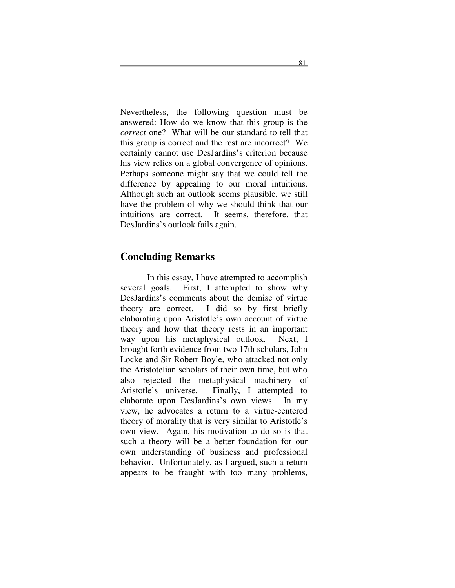Nevertheless, the following question must be answered: How do we know that this group is the *correct* one? What will be our standard to tell that this group is correct and the rest are incorrect? We certainly cannot use DesJardins's criterion because his view relies on a global convergence of opinions. Perhaps someone might say that we could tell the difference by appealing to our moral intuitions. Although such an outlook seems plausible, we still have the problem of why we should think that our intuitions are correct. It seems, therefore, that DesJardins's outlook fails again.

#### **Concluding Remarks**

In this essay, I have attempted to accomplish several goals. First, I attempted to show why DesJardins's comments about the demise of virtue theory are correct. I did so by first briefly elaborating upon Aristotle's own account of virtue theory and how that theory rests in an important way upon his metaphysical outlook. Next, I brought forth evidence from two 17th scholars, John Locke and Sir Robert Boyle, who attacked not only the Aristotelian scholars of their own time, but who also rejected the metaphysical machinery of Aristotle's universe. Finally, I attempted to elaborate upon DesJardins's own views. In my view, he advocates a return to a virtue-centered theory of morality that is very similar to Aristotle's own view. Again, his motivation to do so is that such a theory will be a better foundation for our own understanding of business and professional behavior. Unfortunately, as I argued, such a return appears to be fraught with too many problems,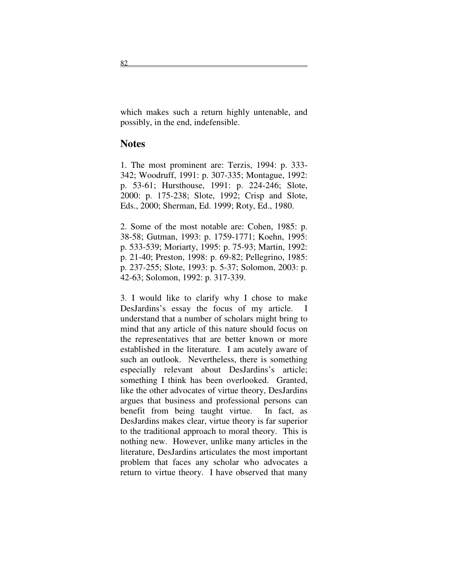which makes such a return highly untenable, and possibly, in the end, indefensible.

#### **Notes**

1. The most prominent are: Terzis, 1994: p. 333- 342; Woodruff, 1991: p. 307-335; Montague, 1992: p. 53-61; Hursthouse, 1991: p. 224-246; Slote, 2000: p. 175-238; Slote, 1992; Crisp and Slote, Eds., 2000; Sherman, Ed. 1999; Roty, Ed., 1980.

2. Some of the most notable are: Cohen, 1985: p. 38-58; Gutman, 1993: p. 1759-1771; Koehn, 1995: p. 533-539; Moriarty, 1995: p. 75-93; Martin, 1992: p. 21-40; Preston, 1998: p. 69-82; Pellegrino, 1985: p. 237-255; Slote, 1993: p. 5-37; Solomon, 2003: p. 42-63; Solomon, 1992: p. 317-339.

3. I would like to clarify why I chose to make DesJardins's essay the focus of my article. I understand that a number of scholars might bring to mind that any article of this nature should focus on the representatives that are better known or more established in the literature. I am acutely aware of such an outlook. Nevertheless, there is something especially relevant about DesJardins's article; something I think has been overlooked. Granted, like the other advocates of virtue theory, DesJardins argues that business and professional persons can benefit from being taught virtue. In fact, as DesJardins makes clear, virtue theory is far superior to the traditional approach to moral theory. This is nothing new. However, unlike many articles in the literature, DesJardins articulates the most important problem that faces any scholar who advocates a return to virtue theory. I have observed that many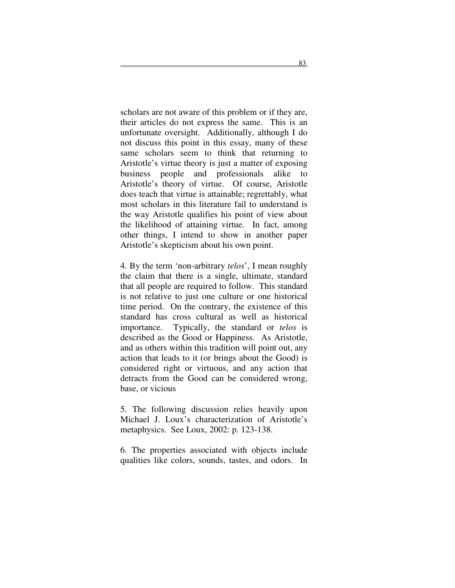scholars are not aware of this problem or if they are, their articles do not express the same. This is an unfortunate oversight. Additionally, although I do not discuss this point in this essay, many of these same scholars seem to think that returning to Aristotle's virtue theory is just a matter of exposing business people and professionals alike to Aristotle's theory of virtue. Of course, Aristotle does teach that virtue is attainable; regrettably, what most scholars in this literature fail to understand is the way Aristotle qualifies his point of view about the likelihood of attaining virtue. In fact, among other things, I intend to show in another paper Aristotle's skepticism about his own point.

4. By the term 'non-arbitrary *telos*', I mean roughly the claim that there is a single, ultimate, standard that all people are required to follow. This standard is not relative to just one culture or one historical time period. On the contrary, the existence of this standard has cross cultural as well as historical importance. Typically, the standard or *telos* is described as the Good or Happiness. As Aristotle, and as others within this tradition will point out, any action that leads to it (or brings about the Good) is considered right or virtuous, and any action that detracts from the Good can be considered wrong, base, or vicious

5. The following discussion relies heavily upon Michael J. Loux's characterization of Aristotle's metaphysics. See Loux, 2002: p. 123-138.

6. The properties associated with objects include qualities like colors, sounds, tastes, and odors. In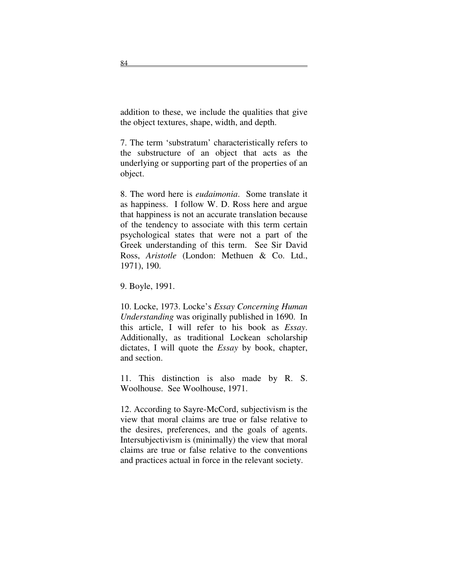addition to these, we include the qualities that give the object textures, shape, width, and depth.

7. The term 'substratum' characteristically refers to the substructure of an object that acts as the underlying or supporting part of the properties of an object.

8. The word here is *eudaimonia*. Some translate it as happiness. I follow W. D. Ross here and argue that happiness is not an accurate translation because of the tendency to associate with this term certain psychological states that were not a part of the Greek understanding of this term. See Sir David Ross, *Aristotle* (London: Methuen & Co. Ltd., 1971), 190.

9. Boyle, 1991.

10. Locke, 1973. Locke's *Essay Concerning Human Understanding* was originally published in 1690. In this article, I will refer to his book as *Essay*. Additionally, as traditional Lockean scholarship dictates, I will quote the *Essay* by book, chapter, and section.

11. This distinction is also made by R. S. Woolhouse. See Woolhouse, 1971.

12. According to Sayre-McCord, subjectivism is the view that moral claims are true or false relative to the desires, preferences, and the goals of agents. Intersubjectivism is (minimally) the view that moral claims are true or false relative to the conventions and practices actual in force in the relevant society.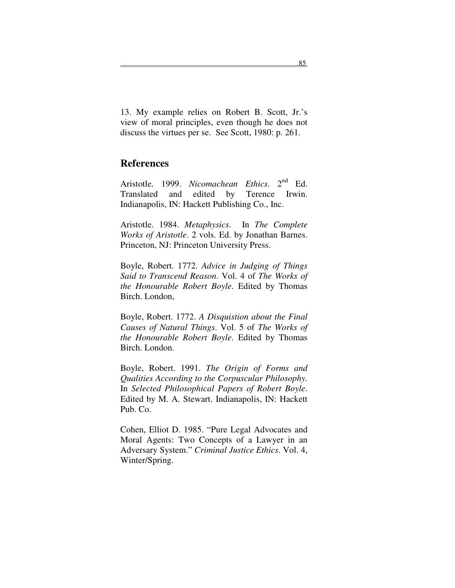13. My example relies on Robert B. Scott, Jr.'s view of moral principles, even though he does not discuss the virtues per se. See Scott, 1980: p. 261.

#### **References**

Aristotle. 1999. Nicomachean Ethics. 2<sup>nd</sup> Ed. Translated and edited by Terence Irwin. Indianapolis, IN: Hackett Publishing Co., Inc.

Aristotle. 1984. *Metaphysics*. In *The Complete Works of Aristotle*. 2 vols. Ed. by Jonathan Barnes. Princeton, NJ: Princeton University Press.

Boyle, Robert. 1772. *Advice in Judging of Things Said to Transcend Reason*. Vol. 4 of *The Works of the Honourable Robert Boyle*. Edited by Thomas Birch. London,

Boyle, Robert. 1772. *A Disquistion about the Final Causes of Natural Things*. Vol. 5 of *The Works of the Honourable Robert Boyle*. Edited by Thomas Birch. London.

Boyle, Robert. 1991. *The Origin of Forms and Qualities According to the Corpuscular Philosophy*. In *Selected Philosophical Papers of Robert Boyle*. Edited by M. A. Stewart. Indianapolis, IN: Hackett Pub. Co.

Cohen, Elliot D. 1985. "Pure Legal Advocates and Moral Agents: Two Concepts of a Lawyer in an Adversary System." *Criminal Justice Ethics*. Vol. 4, Winter/Spring.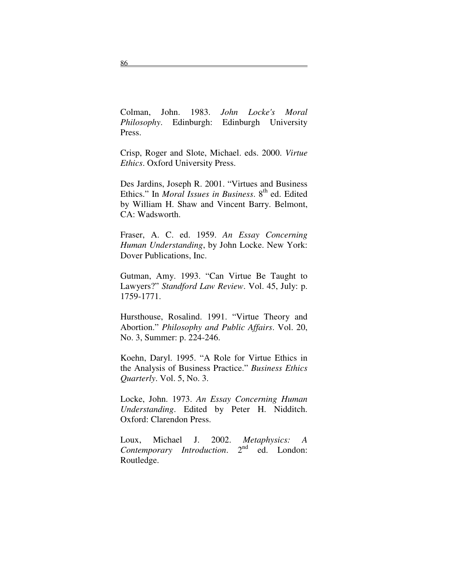Colman, John. 1983. *John Locke's Moral Philosophy*. Edinburgh: Edinburgh University Press.

Crisp, Roger and Slote, Michael. eds. 2000. *Virtue Ethics*. Oxford University Press.

Des Jardins, Joseph R. 2001. "Virtues and Business Ethics." In *Moral Issues in Business*. 8<sup>th</sup> ed. Edited by William H. Shaw and Vincent Barry. Belmont, CA: Wadsworth.

Fraser, A. C. ed. 1959. *An Essay Concerning Human Understanding*, by John Locke. New York: Dover Publications, Inc.

Gutman, Amy. 1993. "Can Virtue Be Taught to Lawyers?" *Standford Law Review*. Vol. 45, July: p. 1759-1771.

Hursthouse, Rosalind. 1991. "Virtue Theory and Abortion." *Philosophy and Public Affairs*. Vol. 20, No. 3, Summer: p. 224-246.

Koehn, Daryl. 1995. "A Role for Virtue Ethics in the Analysis of Business Practice." *Business Ethics Quarterly*. Vol. 5, No. 3.

Locke, John. 1973. *An Essay Concerning Human Understanding*. Edited by Peter H. Nidditch. Oxford: Clarendon Press.

Loux, Michael J. 2002. *Metaphysics: A Contemporary Introduction*. 2  $2<sup>nd</sup>$ ed. London: Routledge.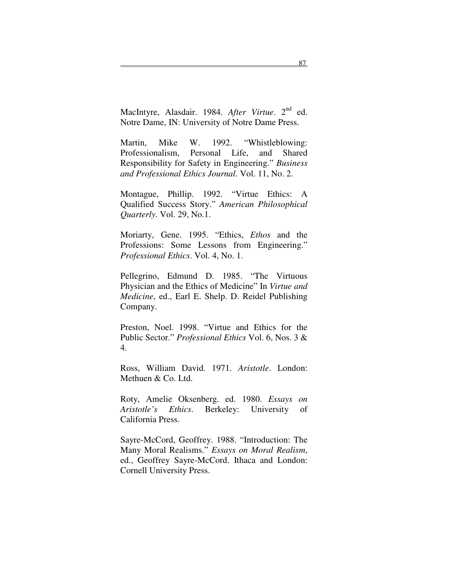MacIntyre, Alasdair. 1984. After Virtue. 2<sup>nd</sup> ed. Notre Dame, IN: University of Notre Dame Press.

Martin, Mike W. 1992. "Whistleblowing: Professionalism, Personal Life, and Shared Responsibility for Safety in Engineering." *Business and Professional Ethics Journal*. Vol. 11, No. 2.

Montague, Phillip. 1992. "Virtue Ethics: A Qualified Success Story." *American Philosophical Quarterly*. Vol. 29, No.1.

Moriarty, Gene. 1995. "Ethics, *Ethos* and the Professions: Some Lessons from Engineering." *Professional Ethics*. Vol. 4, No. 1.

Pellegrino, Edmund D. 1985. "The Virtuous Physician and the Ethics of Medicine" In *Virtue and Medicine*, ed., Earl E. Shelp. D. Reidel Publishing Company.

Preston, Noel. 1998. "Virtue and Ethics for the Public Sector." *Professional Ethics* Vol. 6, Nos. 3 & 4.

Ross, William David. 1971. *Aristotle*. London: Methuen & Co. Ltd.

Roty, Amelie Oksenberg. ed. 1980. *Essays on Aristotle's Ethics*. Berkeley: University of California Press.

Sayre-McCord, Geoffrey. 1988. "Introduction: The Many Moral Realisms." *Essays on Moral Realism*, ed., Geoffrey Sayre-McCord. Ithaca and London: Cornell University Press.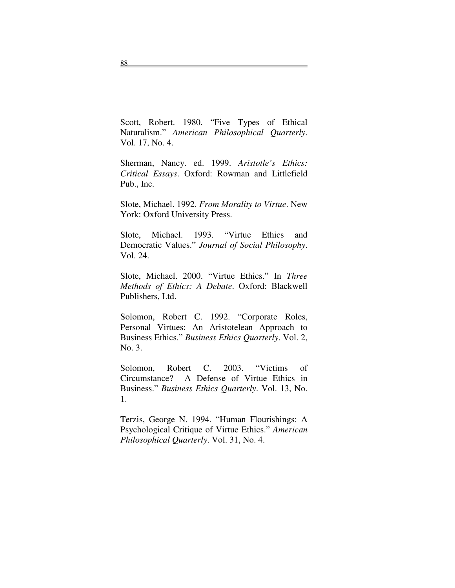Scott, Robert. 1980. "Five Types of Ethical Naturalism." *American Philosophical Quarterly*. Vol. 17, No. 4.

Sherman, Nancy. ed. 1999. *Aristotle's Ethics: Critical Essays*. Oxford: Rowman and Littlefield Pub., Inc.

Slote, Michael. 1992. *From Morality to Virtue*. New York: Oxford University Press.

Slote, Michael. 1993. "Virtue Ethics and Democratic Values." *Journal of Social Philosophy*. Vol. 24.

Slote, Michael. 2000. "Virtue Ethics." In *Three Methods of Ethics: A Debate*. Oxford: Blackwell Publishers, Ltd.

Solomon, Robert C. 1992. "Corporate Roles, Personal Virtues: An Aristotelean Approach to Business Ethics." *Business Ethics Quarterly*. Vol. 2, No. 3.

Solomon, Robert C. 2003. "Victims of Circumstance? A Defense of Virtue Ethics in Business." *Business Ethics Quarterly*. Vol. 13, No. 1.

Terzis, George N. 1994. "Human Flourishings: A Psychological Critique of Virtue Ethics." *American Philosophical Quarterly*. Vol. 31, No. 4.